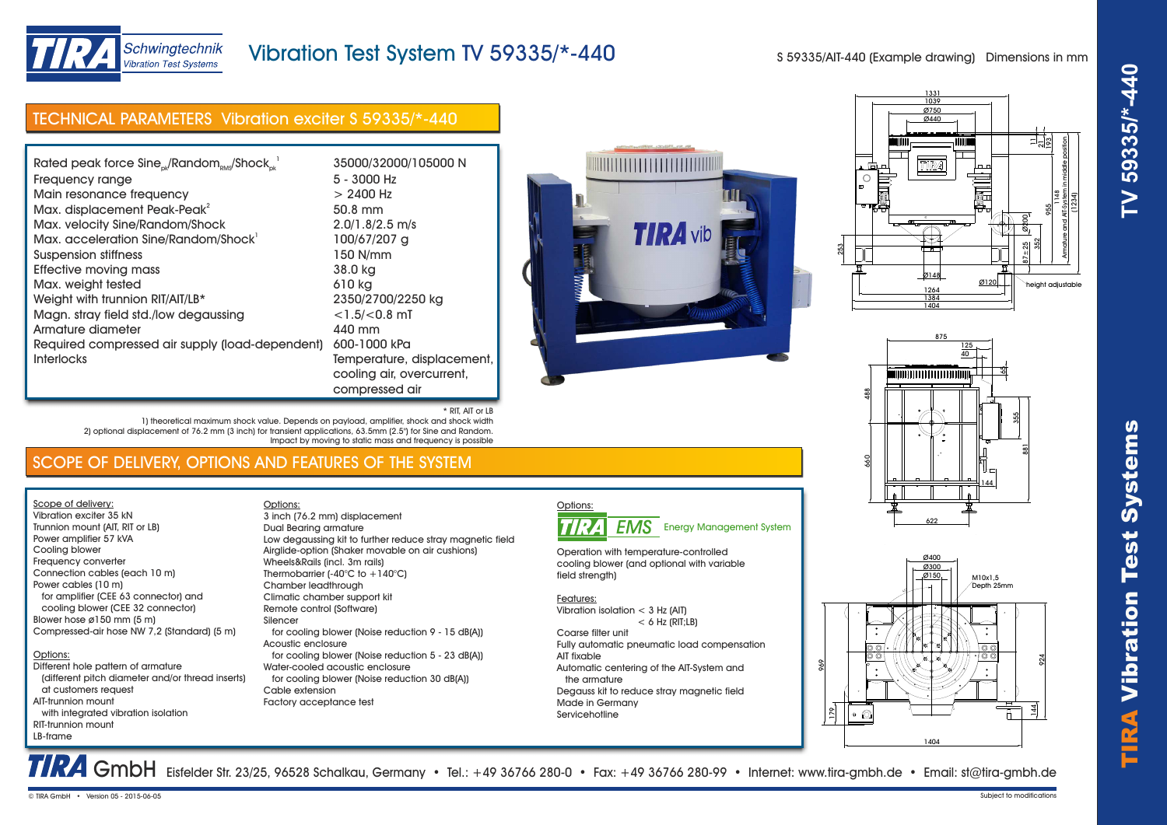

# Schwingtechnik **Vibration Test Systems**

# Vibration Test System TV 59335/\*-440

S 59335/AIT-440 (Example drawing) Dimensions in mm

| TECHNICAL PARAMETERS Vibration exciter S 59335/*-440                                                                                                                                                                                                                                                                                                                                                                                                                                                         |                                                                                                                                                                                                                                                                                        |
|--------------------------------------------------------------------------------------------------------------------------------------------------------------------------------------------------------------------------------------------------------------------------------------------------------------------------------------------------------------------------------------------------------------------------------------------------------------------------------------------------------------|----------------------------------------------------------------------------------------------------------------------------------------------------------------------------------------------------------------------------------------------------------------------------------------|
|                                                                                                                                                                                                                                                                                                                                                                                                                                                                                                              |                                                                                                                                                                                                                                                                                        |
| Rated peak force Sine <sub>ok</sub> /Random <sub>RMS</sub> /Shock <sub>nk</sub><br>Frequency range<br>Main resonance frequency<br>Max. displacement Peak-Peak <sup>2</sup><br>Max. velocity Sine/Random/Shock<br>Max. acceleration Sine/Random/Shock<br>Suspension stiffness<br><b>Effective moving mass</b><br>Max. weight tested<br>Weight with trunnion RIT/AIT/LB*<br>Magn. stray field std./low degaussing<br>Armature diameter<br>Required compressed air supply (load-dependent)<br><b>Interlocks</b> | 35000/32000/105000 N<br>5 - 3000 Hz<br>$> 2400$ Hz<br>50.8 mm<br>$2.0/1.8/2.5$ m/s<br>100/67/207 a<br>150 N/mm<br>38.0 kg<br>610 kg<br>2350/2700/2250 kg<br>$<$ 1.5/ $<$ 0.8 mT<br>440 mm<br>600-1000 kPa<br>Temperature, displacement,<br>cooling air, overcurrent,<br>compressed air |
| * RIT, AIT or LB<br>1) theoretical maximum shock value. Depends on payload, amplifier, shock and shock width                                                                                                                                                                                                                                                                                                                                                                                                 |                                                                                                                                                                                                                                                                                        |







# SCOPE OF DELIVERY, OPTIONS AND FEATURES OF THE SYSTEM

2) optional displacement of 76.2 mm (3 inch) for transient applications, 63.5mm (2.5") for Sine and Random.

Scope of delivery: Vibration exciter 35 kN Trunnion mount (AIT, RIT or LB) Power amplifier 57 kVA Cooling blower Frequency converter Connection cables (each 10 m) Power cables (10 m) for amplifier (CEE 63 connector) and cooling blower (CEE 32 connector) Blower hose ø150 mm (5 m) Compressed-air hose NW 7,2 (Standard) (5 m)

#### Options: Different hole pattern of armature

 (different pitch diameter and/or thread inserts) at customers request AIT-trunnion mount with integrated vibration isolation RIT-trunnion mount LB-frame

Options: Dual Bearing armature Low degaussing kit to further reduce stray magnetic field Airglide-option (Shaker movable on air cushions) Wheels&Rails (incl. 3m rails) Thermobarrier (-40°C to +140°C) Chamber leadthrough Climatic chamber support kit Remote control (Software) Silencer for cooling blower (Noise reduction 9 - 15 dB(A)) Acoustic enclosure for cooling blower (Noise reduction 5 - 23 dB(A)) Water-cooled acoustic enclosure for cooling blower (Noise reduction 30 dB(A)) Cable extension Factory acceptance test 3 inch (76.2 mm) displacement

Impact by moving to static mass and frequency is possible



Operation with temperature-controlled cooling blower (and optional with variable field strength)

Features: Vibration isolation < 3 Hz (AIT)

 $<$  6 Hz (RIT;LB) Coarse filter unit Fully automatic pneumatic load compensation AIT fixable Automatic centering of the AIT-System and the armature Degauss kit to reduce stray magnetic field Made in Germany **Servicehotline** 



TRA GmbH Eisfelder Str. 23/25, 96528 Schalkau, Germany • Tel.: +49 36766 280-0 • Fax: +49 36766 280-99 • Internet: www.tira-gmbh.de • Email: st@tira-gmbh.de